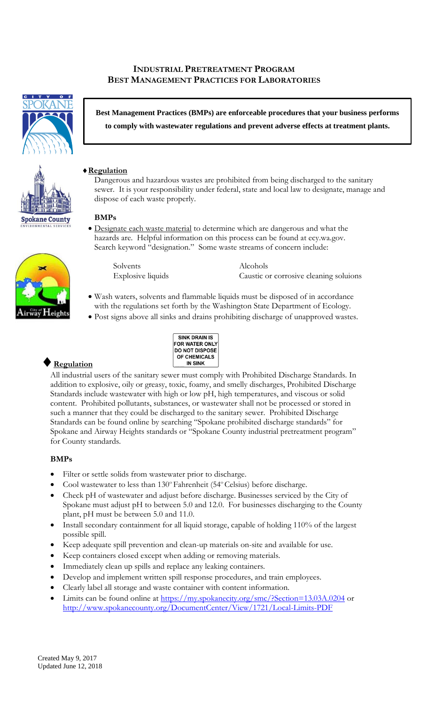## **INDUSTRIAL PRETREATMENT PROGRAM BEST MANAGEMENT PRACTICES FOR LABORATORIES**



**Best Management Practices (BMPs) are enforceable procedures that your business performs to comply with wastewater regulations and prevent adverse effects at treatment plants.**

### **Regulation**

Dangerous and hazardous wastes are prohibited from being discharged to the sanitary sewer. It is your responsibility under federal, state and local law to designate, manage and dispose of each waste properly.

#### **BMPs**

• Designate each waste material to determine which are dangerous and what the hazards are. Helpful information on this process can be found at ecy.wa.gov. Search keyword "designation." Some waste streams of concern include:

Solvents Alcohols

Explosive liquids Caustic or corrosive cleaning soluions

- Wash waters, solvents and flammable liquids must be disposed of in accordance with the regulations set forth by the Washington State Department of Ecology.
- Post signs above all sinks and drains prohibiting discharge of unapproved wastes.



# **Regulation**

All industrial users of the sanitary sewer must comply with Prohibited Discharge Standards. In addition to explosive, oily or greasy, toxic, foamy, and smelly discharges, Prohibited Discharge Standards include wastewater with high or low pH, high temperatures, and viscous or solid content. Prohibited pollutants, substances, or wastewater shall not be processed or stored in such a manner that they could be discharged to the sanitary sewer. Prohibited Discharge Standards can be found online by searching "Spokane prohibited discharge standards" for Spokane and Airway Heights standards or "Spokane County industrial pretreatment program" for County standards.

## **BMPs**

- Filter or settle solids from wastewater prior to discharge.
- Cool wastewater to less than 130° Fahrenheit (54° Celsius) before discharge.
- Check pH of wastewater and adjust before discharge. Businesses serviced by the City of Spokane must adjust pH to between 5.0 and 12.0. For businesses discharging to the County plant, pH must be between 5.0 and 11.0.
- Install secondary containment for all liquid storage, capable of holding 110% of the largest possible spill.
- Keep adequate spill prevention and clean-up materials on-site and available for use.
- Keep containers closed except when adding or removing materials.
- Immediately clean up spills and replace any leaking containers.
- Develop and implement written spill response procedures, and train employees.
- Clearly label all storage and waste container with content information.
- Limits can be found online at<https://my.spokanecity.org/smc/?Section=13.03A.0204> or <http://www.spokanecounty.org/DocumentCenter/View/1721/Local-Limits-PDF>



**Spokane County**